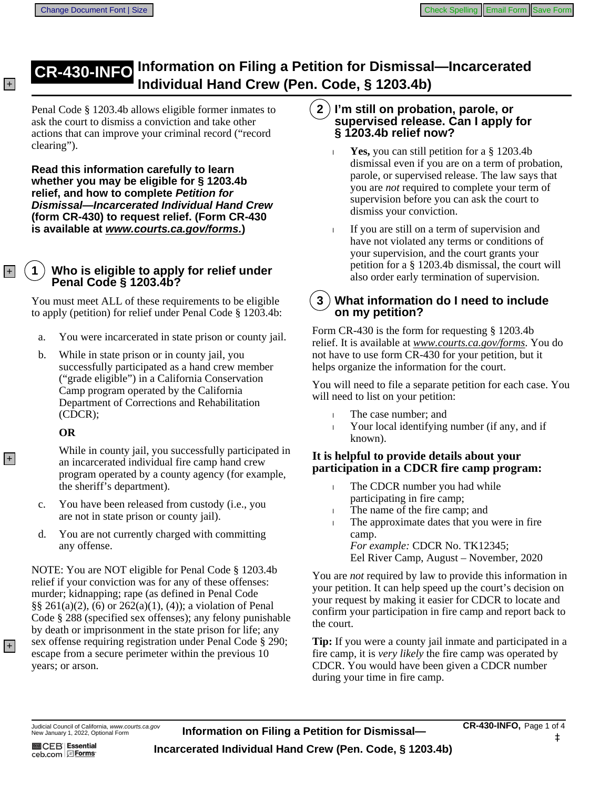## **CR-430-INFO** Information on Filing a Petition for Dismissal-Incarcerated **Heather Lings 2015 Hand Crew (Pen. Code, § 1203.4b)**

Penal Code § 1203.4b allows eligible former inmates to ask the court to dismiss a conviction and take other actions that can improve your criminal record ("record clearing").

**Read this information carefully to learn** whether you may be eligible for § 1203.4b relief, and how to complete Petition for **Dismissal-Incarcerated Individual Hand Crew** (form CR-430) to request relief. (Form CR-430) is available at www.courts.ca.gov/forms.)

#### $\mathbf 1$ Who is eligible to apply for relief under Penal Code § 1203.4b?

You must meet ALL of these requirements to be eligible to apply (petition) for relief under Penal Code § 1203.4b:

- You were incarcerated in state prison or county jail. a.
- b. While in state prison or in county jail, you successfully participated as a hand crew member ("grade eligible") in a California Conservation Camp program operated by the California Department of Corrections and Rehabilitation  $(CDCR);$

#### **OR**

While in county jail, you successfully participated in an incarcerated individual fire camp hand crew program operated by a county agency (for example, the sheriff's department).

- You have been released from custody (i.e., you  $C<sub>1</sub>$ are not in state prison or county jail).
- You are not currently charged with committing d. any offense.

NOTE: You are NOT eligible for Penal Code § 1203.4b relief if your conviction was for any of these offenses: murder; kidnapping; rape (as defined in Penal Code  $\S\S 261(a)(2)$ , (6) or 262(a)(1), (4)); a violation of Penal Code § 288 (specified sex offenses); any felony punishable by death or imprisonment in the state prison for life; any sex offense requiring registration under Penal Code § 290; escape from a secure perimeter within the previous 10 years; or arson.

#### $2)$ I'm still on probation, parole, or supervised release. Can I apply for § 1203.4b relief now?

- **Yes,** you can still petition for a  $\S$  1203.4b dismissal even if you are on a term of probation, parole, or supervised release. The law says that you are *not* required to complete your term of supervision before you can ask the court to dismiss your conviction.
- If you are still on a term of supervision and have not violated any terms or conditions of your supervision, and the court grants your petition for a  $\S$  1203.4b dismissal, the court will also order early termination of supervision.

#### 3 **What information do I need to include** on my petition?

Form CR-430 is the form for requesting  $\S$  1203.4b relief. It is available at www.courts.ca.gov/forms. You do not have to use form CR-430 for your petition, but it helps organize the information for the court.

You will need to file a separate petition for each case. You will need to list on your petition:

- The case number; and
- Your local identifying number (if any, and if  $\mathbf{I}$ known).

### It is helpful to provide details about your **participation in a CDCR fire camp program:**

- The CDCR number you had while  $\mathbf{L}$ participating in fire camp;
- The name of the fire camp; and
- The approximate dates that you were in fire. camp. *For example: CDCR No. TK12345;* Eel River Camp, August - November, 2020

You are *not* required by law to provide this information in your petition. It can help speed up the court's decision on your request by making it easier for CDCR to locate and confirm your participation in fire camp and report back to the court.

**Tip:** If you were a county jail inmate and participated in a fire camp, it is *very likely* the fire camp was operated by CDCR. You would have been given a CDCR number during your time in fire camp.

### Judicial Council of California, www.courts.ca.gov<br>New January 1, 2022, Optional Form

**图CEB** Essential ceb.com EForms

 $+$ 

 $|+|$ 

 $|+|$ 

 $\overline{+}$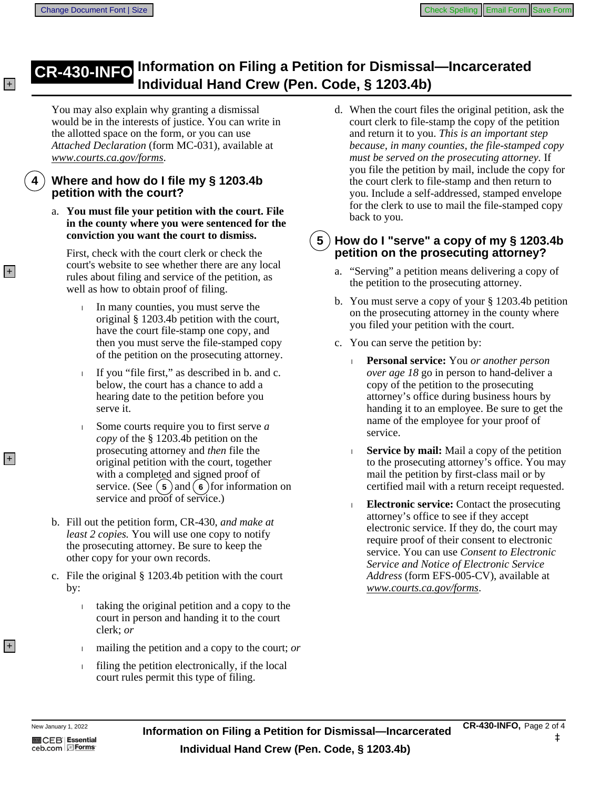## **CR-430-INFO** Information on Filing a Petition for Dismissal—I **Individual Hand Crew (Pen. Code, § 1203.4b)**

You may also explain why granting a dismissal would be in the interests of justice. You can write in the allotted space on the form, or you can use Attached Declaration (form MC-031), available at www.courts.ca.gov/forms.

### **Where and how do I file my § 1203.4b petition with the court?**

a. You must file your petition with the court. File in the county where you were sentenced for the conviction you want the court to dismiss.

First, check with the court clerk or check the court's website to see whether there are any local rules about filing and service of the petition, as well as how to obtain proof of filing.

- In many counties, you must serve the original § 1203.4b petition with the court, have the court file-stamp one copy, and then you must serve the file-stamped copy of the petition on the prosecuting attorney.
- If you "file first," as described in b. and c. L. below, the court has a chance to add a hearing date to the petition before you serve it.
- Some courts require you to first serve  $a$ L. *copy* of the § 1203.4b petition on the prosecuting attorney and *then* file the original petition with the court, together with a completed and signed proof of service. (See  $(5)$  and  $(6)$  for information on service and proof of service.)
- b. Fill out the petition form, CR-430, and make at least 2 copies. You will use one copy to notify the prosecuting attorney. Be sure to keep the other copy for your own records.
- c. File the original  $\S$  1203.4b petition with the court by:
	- taking the original petition and a copy to the  $\mathbf{L}$ court in person and handing it to the court clerk; or
	- mailing the petition and a copy to the court; or L
	- filing the petition electronically, if the local Ī. court rules permit this type of filing.

d. When the court files the original petition, ask the court clerk to file-stamp the copy of the petition and return it to you. This is an important step because, in many counties, the file-stamped copy must be served on the prosecuting attorney. If you file the petition by mail, include the copy for the court clerk to file-stamp and then return to you. Include a self-addressed, stamped envelope for the clerk to use to mail the file-stamped copy back to you.

#### 5 How do I "serve" a copy of my § 1203.4b petition on the prosecuting attorney?

- a. "Serving" a petition means delivering a copy of the petition to the prosecuting attorney.
- b. You must serve a copy of your  $\S 1203.4b$  petition on the prosecuting attorney in the county where you filed your petition with the court.
- c. You can serve the petition by:
	- $\mathbf{L}$ Personal service: You or another person over age 18 go in person to hand-deliver a copy of the petition to the prosecuting attorney's office during business hours by handing it to an employee. Be sure to get the name of the employee for your proof of service.
	- **Service by mail:** Mail a copy of the petition  $\mathbf{I}$ to the prosecuting attorney's office. You may mail the petition by first-class mail or by certified mail with a return receipt requested.
	- **Electronic service:** Contact the prosecuting attorney's office to see if they accept electronic service. If they do, the court may require proof of their consent to electronic service. You can use Consent to Electronic Service and Notice of Electronic Service Address (form EFS-005-CV), available at www.courts.ca.gov/forms.

 $+$ 

 $+$ 

 $+$ 

 $|+|$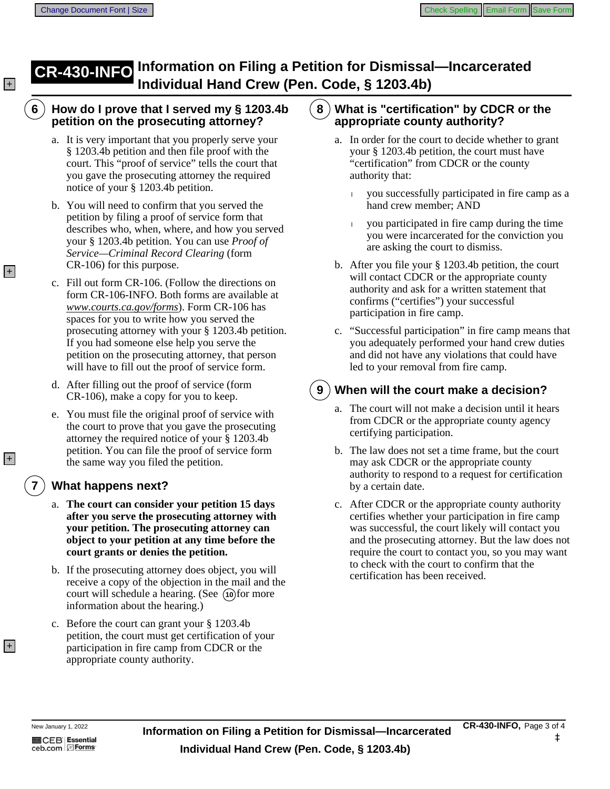## **CR-430-INFO** Information on Filing a Petition for Dismissal—Incarcerated **Hand Crew (Pen. Code, § 1203.4b)**

#### How do I prove that I served my  $\S$  1203.4b  $(8)$  What is "certification" by CDCR or the 6 petition on the prosecuting attorney?

- a. It is very important that you properly serve your § 1203.4b petition and then file proof with the court. This "proof of service" tells the court that you gave the prosecuting attorney the required notice of your § 1203.4b petition.
- b. You will need to confirm that you served the petition by filing a proof of service form that describes who, when, where, and how you served your § 1203.4b petition. You can use *Proof of* **Service—Criminal Record Clearing (form** CR-106) for this purpose.
- c. Fill out form CR-106. (Follow the directions on form CR-106-INFO. Both forms are available at www.courts.ca.gov/forms). Form CR-106 has spaces for you to write how you served the prosecuting attorney with your  $\S$  1203.4b petition. If you had someone else help you serve the petition on the prosecuting attorney, that person will have to fill out the proof of service form.
- d. After filling out the proof of service (form CR-106), make a copy for you to keep.
- e. You must file the original proof of service with the court to prove that you gave the prosecuting attorney the required notice of your § 1203.4b petition. You can file the proof of service form the same way you filed the petition.

## **What happens next?**

- a. The court can consider your petition 15 days after you serve the prosecuting attorney with your petition. The prosecuting attorney can object to your petition at any time before the court grants or denies the petition.
- b. If the prosecuting attorney does object, you will receive a copy of the objection in the mail and the court will schedule a hearing. (See (10) for more information about the hearing.)
- c. Before the court can grant your § 1203.4b petition, the court must get certification of your participation in fire camp from CDCR or the appropriate county authority.

# appropriate county authority?

- a. In order for the court to decide whether to grant your  $\S$  1203.4b petition, the court must have "certification" from CDCR or the county authority that:
	- you successfully participated in fire camp as a  $\mathbf{L}$ hand crew member; AND
	- you participated in fire camp during the time you were incarcerated for the conviction you are asking the court to dismiss.
- b. After you file your  $\S 1203.4b$  petition, the court will contact CDCR or the appropriate county authority and ask for a written statement that confirms ("certifies") your successful participation in fire camp.
- c. "Successful participation" in fire camp means that you adequately performed your hand crew duties and did not have any violations that could have led to your removal from fire camp.

### 9

## **When will the court make a decision?**

- a. The court will not make a decision until it hears from CDCR or the appropriate county agency certifying participation.
- b. The law does not set a time frame, but the court may ask CDCR or the appropriate county authority to respond to a request for certification by a certain date.
- c. After CDCR or the appropriate county authority certifies whether your participation in fire camp was successful, the court likely will contact you and the prosecuting attorney. But the law does not require the court to contact you, so you may want to check with the court to confirm that the certification has been received.

 $+$ 

 $|+|$ 

 $+$ 

 $|+|$